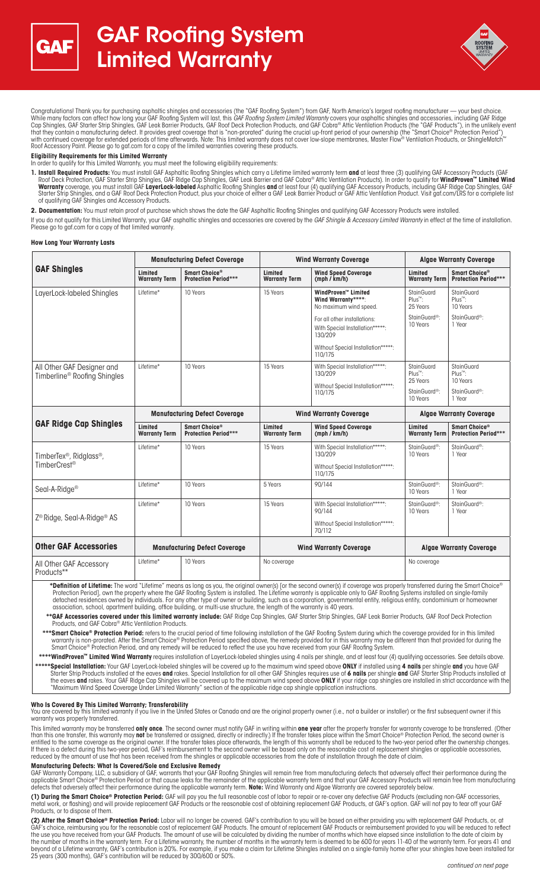



Congratulations! Thank you for purchasing asphaltic shingles and accessories (the "GAF Roofing System") from GAF, North America's largest roofing manufacturer — your best choice.<br>While many factors can affect how long your Cap Shingles, GAF Starter Strip Shingles, GAF Leak Barrier Products, GAF Roof Deck Protection Products, and GAF Cobra® Attic Ventilation Products (the "GAF Products"), in the unlikely event that they contain a manufacturing defect. It provides great coverage that is "non-prorated" during the crucial up-front period of your ownership (the "Smart Choice® Protection Period") with continued coverage for extended periods of time afterwards. Note: This limited warranty does not cover low-slope membranes, Master Flow® Ventilation Products, or ShingleMatch™ Roof Accessory Paint. Please go to gaf.com for a copy of the limited warranties covering these products.

**Eligibility Requirements for this Limited Warranty**

In order to qualify for this Limited Warranty, you must meet the following eligibility requirements:

1**. Install Required Products:** You must install GAF Asphaltic Roofing Shingles which carry a Lifetime limited warranty term **and** at least three (3) qualifying GAF Accessory Products (GAF<br>Roof Deck Protection, GAF Starter **Warranty** coverage, you must install GAF **LayerLock-labeled** Asphaltic Roofing Shingles **and** at least four (4) qualifying GAF Accessory Products, including GAF Ridge Cap Shingles, GAF Starter Strip Shingles, and a GAF Roof Deck Protection Product, plus your choice of either a GAF Leak Barrier Product or GAF Attic Ventilation Product. Visit gaf.com/LRS for a complete list of qualifying GAF Shingles and Accessory Products.

**2. Documentation:** You must retain proof of purchase which shows the date the GAF Asphaltic Roofing Shingles and qualifying GAF Accessory Products were installed.

If you do not qualify for this Limited Warranty, your GAF asphaltic shingles and accessories are covered by the GAF Shingle & Accessory Limited Warranty in effect at the time of installation. Please go to gaf.com for a copy of that limited warranty.

## **How Long Your Warranty Lasts**

| <b>GAF Shingles</b>                                                          | <b>Manufacturing Defect Coverage</b> |                                              | <b>Wind Warranty Coverage</b>   |                                                                            | <b>Algae Warranty Coverage</b>                |                                               |
|------------------------------------------------------------------------------|--------------------------------------|----------------------------------------------|---------------------------------|----------------------------------------------------------------------------|-----------------------------------------------|-----------------------------------------------|
|                                                                              | Limited<br><b>Warranty Term</b>      | Smart Choice®<br><b>Protection Period***</b> | Limited<br><b>Warranty Term</b> | <b>Wind Speed Coverage</b><br>(mph / km/h)                                 | Limited<br><b>Warranty Term</b>               | Smart Choice®<br><b>Protection Period***</b>  |
| LayerLock-labeled Shingles                                                   | Lifetime*                            | 10 Years                                     | 15 Years                        | <b>WindProven™ Limited</b><br>Wind Warranty****:<br>No maximum wind speed. | StainGuard<br>Plus™:<br>25 Years              | StainGuard<br>Plus™:<br>10 Years              |
|                                                                              |                                      |                                              |                                 | For all other installations:<br>With Special Installation*****:<br>130/209 | StainGuard <sup>®</sup> :<br>10 Years         | StainGuard <sup>®</sup> :<br>1 Year           |
|                                                                              |                                      |                                              |                                 | Without Special Installation*****:<br>110/175                              |                                               |                                               |
| All Other GAF Designer and<br>Timberline <sup>®</sup> Roofing Shingles       | Lifetime*                            | 10 Years                                     | 15 Years                        | With Special Installation*****:<br>130/209                                 | StainGuard<br>Plus <sup>™</sup> :<br>25 Years | StainGuard<br>Plus <sup>™</sup> :<br>10 Years |
|                                                                              |                                      |                                              |                                 | Without Special Installation*****:<br>110/175                              | StainGuard <sup>®</sup> :<br>10 Years         | StainGuard <sup>®</sup> :<br>1 Year           |
| <b>GAF Ridge Cap Shingles</b>                                                | <b>Manufacturing Defect Coverage</b> |                                              | <b>Wind Warranty Coverage</b>   |                                                                            | <b>Algae Warranty Coverage</b>                |                                               |
|                                                                              | Limited<br><b>Warranty Term</b>      | Smart Choice®<br><b>Protection Period***</b> | Limited<br><b>Warranty Term</b> | <b>Wind Speed Coverage</b><br>(mph / km/h)                                 | Limited<br><b>Warranty Term</b>               | Smart Choice®<br><b>Protection Period***</b>  |
| TimberTex <sup>®</sup> , Ridglass <sup>®</sup> ,<br>TimberCrest <sup>®</sup> | Lifetime*                            | 10 Years                                     | 15 Years                        | With Special Installation*****:<br>130/209                                 | StainGuard <sup>®</sup> :<br>10 Years         | StainGuard <sup>®</sup> :<br>1 Year           |
|                                                                              |                                      |                                              |                                 | Without Special Installation*****:<br>110/175                              |                                               |                                               |
| Seal-A-Ridge <sup>®</sup>                                                    | Lifetime*                            | 10 Years                                     | 5 Years                         | 90/144                                                                     | StainGuard <sup>®</sup> :<br>10 Years         | StainGuard <sup>®</sup> :<br>1 Year           |
| $Z^{\circledR}$ Ridge, Seal-A-Ridge <sup>®</sup> AS                          | Lifetime*                            | 10 Years                                     | 15 Years                        | With Special Installation*****:<br>90/144                                  | StainGuard <sup>®</sup> :<br>10 Years         | StainGuard <sup>®</sup> :<br>1 Year           |
|                                                                              |                                      |                                              |                                 | Without Special Installation*****:<br>70/112                               |                                               |                                               |
| <b>Other GAF Accessories</b>                                                 | <b>Manufacturing Defect Coverage</b> |                                              | <b>Wind Warranty Coverage</b>   |                                                                            | <b>Algae Warranty Coverage</b>                |                                               |
| All Other GAF Accessory<br>Products**                                        | Lifetime*                            | 10 Years                                     | No coverage                     |                                                                            | No coverage                                   |                                               |

 **\* Definition of Lifetime:** The word "Lifetime" means as long as you, the original owner(s) [or the second owner(s) if coverage was properly transferred during the Smart Choice® Protection Period], own the property where the GAF Roofing System is installed. The Lifetime warranty is applicable only to GAF Roofing Systems installed on single-family detached residences owned by individuals. For any other type of owner or building, such as a corporation, governmental entity, religious entity, condominium or homeowner association, school, apartment building, office building, or multi-use structure, the length of the warranty is 40 years.

 **\*\* GAF Accessories covered under this limited warranty include:** GAF Ridge Cap Shingles, GAF Starter Strip Shingles, GAF Leak Barrier Products, GAF Roof Deck Protection Products, and GAF Cobra® Attic Ventilation Products.

 **\*\*\* Smart Choice® Protection Period:** refers to the crucial period of time following installation of the GAF Roofing System during which the coverage provided for in this limited warranty is non-prorated. After the Smart Choice® Protection Period specified above, the remedy provided for in this warranty may be different than that provided for during the Smart Choice® Protection Period, and any remedy will be reduced to reflect the use you have received from your GAF Roofing System.

 **\*\*\*\* WindProven™ Limited Wind Warranty** requires installation of LayerLock-labeled shingles using 4 nails per shingle, and at least four (4) qualifying accessories. See details above. **\*\*\*\*\* Special Installation:** Your GAF LayerLock-labeled shingles will be covered up to the maximum wind speed above **ONLY** if installed using **4 nails** per shingle **and** you have GAF Starter Strip Products installed at the eaves **and** rakes. Special Installation for all other GAF Shingles requires use of **6 nails** per shingle **and** GAF Starter Strip Products installed at the eaves **and** rakes. Your GAF Ridge Cap Shingles will be covered up to the maximum wind speed above **ONLY** if your ridge cap shingles are installed in strict accordance with the "Maximum Wind Speed Coverage Under Limited Warranty" section of the applicable ridge cap shingle application instructions.

# **Who Is Covered By This Limited Warranty; Transferability**

You are covered by this limited warranty if you live in the United States or Canada and are the original property owner (i.e., not a builder or installer) or the first subsequent owner if this warranty was properly transferred.

This limited warranty may be transferred **only once**. The second owner must notify GAF in writing within **one year** after the property transfer for warranty coverage to be transferred. (Other than this one transfer, this warranty may **not** be transferred or assigned, directly or indirectly.) If the transfer takes place within the Smart Choice® Protection Period, the second owner is entitled to the same coverage as the original owner. If the transfer takes place afterwards, the length of this warranty shall be reduced to the two-year period after the ownership changes. If there is a defect during this two-year period, GAF's reimbursement to the second owner will be based only on the reasonable cost of replacement shingles or applicable accessories, reduced by the amount of use that has been received from the shingles or applicable accessories from the date of installation through the date of claim.

# **Manufacturing Defects: What Is Covered/Sole and Exclusive Remedy**

GAF Warranty Company, LLC, a subsidiary of GAF, warrants that your GAF Roofing Shingles will remain free from manufacturing defects that adversely affect their performance during the<br>applicable Smart Choice® Protection Per defects that adversely affect their performance during the applicable warranty term. **Note:** Wind Warranty and Algae Warranty are covered separately below.

**(1) During the Smart Choice® Protection Period:** GAF will pay you the full reasonable cost of labor to repair or re-cover any defective GAF Products (excluding non-GAF accessories, metal work, or flashing) and will provide replacement GAF Products or the reasonable cost of obtaining replacement GAF Products, at GAF's option. GAF will not pay to tear off your GAF Products, or to dispose of them.

**(2) After the Smart Choice® Protection Period:** Labor will no longer be covered. GAF's contribution to you will be based on either providing you with replacement GAF Products, or, at GAF's choice, reimbursing you for the reasonable cost of replacement GAF Products. The amount of replacement GAF Products or reimbursement provided to you will be reduced to reflect the use you have received from your GAF Products. The amount of use will be calculated by dividing the number of months which have elapsed since installation to the date of claim by the number of months in the warranty term. For a Lifetime warranty, the number of months in the warranty term is deemed to be 600 for years 11-40 of the warranty term. For years 41 and beyond of a Lifetime warranty, GAF's contribution is 20%. For example, if you make a claim for Lifetime Shingles installed on a single-family home after your shingles have been installed for 25 years (300 months), GAF's contribution will be reduced by 300/600 or 50%.